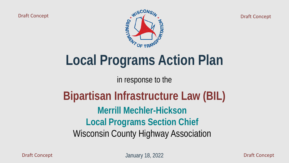

# **Local Programs Action Plan**

in response to the

### **Bipartisan Infrastructure Law (BIL) Merrill Mechler-Hickson Local Programs Section Chief** Wisconsin County Highway Association

January 18, 2022 Draft Concept Draft Concept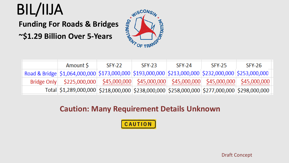# BIL/IIJA

**Funding For Roads & Bridges ~\$1.29 Billion Over 5-Years**



| Amount S                                                                                                        | SFY-22 | SFY-23 | $SFY-24$ | $SFY-25$ | $SFY-26$ |
|-----------------------------------------------------------------------------------------------------------------|--------|--------|----------|----------|----------|
| Road & Bridge   \$1,064,000,000   \$173,000,000   \$193,000,000   \$213,000,000   \$232,000,000   \$253,000,000 |        |        |          |          |          |
| Bridge Only   \$225,000,000   \$45,000,000   \$45,000,000   \$45,000,000   \$45,000,000   \$45,000,000          |        |        |          |          |          |
| Total \$1,289,000,000 \$218,000,000 \$238,000,000 \$258,000,000 \$277,000,000 \$298,000,000                     |        |        |          |          |          |

### **Caution: Many Requirement Details Unknown**

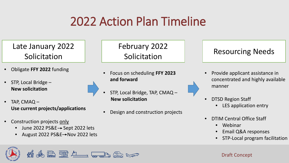# 2022 Action Plan Timeline

Late January 2022 Solicitation

- Obligate **FFY 2022** funding
- STP, Local Bridge **New solicitation**
- TAP, CMAQ **Use current projects/applications**
- Construction projects only
	- June 2022 PS&E  $\rightarrow$  Sept 2022 lets
	- August 2022 PS&E→Nov 2022 lets

February 2022 Solicitation **Resourcing Needs** 

- Focus on scheduling **FFY 2023 and forward**
- STP, Local Bridge, TAP, CMAQ **New solicitation**
- Design and construction projects

- Provide applicant assistance in concentrated and highly available manner
- DTSD Region Staff
	- LES application entry
- DTIM Central Office Staff
	- Webinar
	- Email Q&A responses
	- STP-Local program facilitation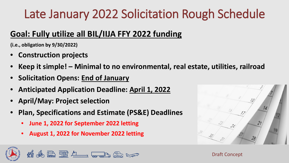## Late January 2022 Solicitation Rough Schedule

### **Goal: Fully utilize all BIL/IIJA FFY 2022 funding**

**(i.e., obligation by 9/30/2022)**

- **Construction projects**
- **Keep it simple! – Minimal to no environmental, real estate, utilities, railroad**
- **Solicitation Opens: End of January**
- **Anticipated Application Deadline: April 1, 2022**
- **April/May: Project selection**
- **Plan, Specifications and Estimate (PS&E) Deadlines**
	- **June 1, 2022 for September 2022 letting**
	- **August 1, 2022 for November 2022 letting**



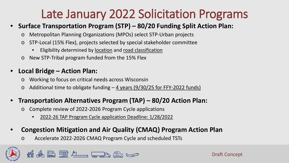### Late January 2022 Solicitation Programs

#### • **Surface Transportation Program (STP) – 80/20 Funding Split Action Plan:**

- o Metropolitan Planning Organizations (MPOs) select STP-Urban projects
- o STP-Local (15% Flex), projects selected by special stakeholder committee
	- Eligibility determined by location and road classification
- o New STP-Tribal program funded from the 15% Flex

#### • **Local Bridge – Action Plan:**

- o Working to focus on critical needs across Wisconsin
- $\circ$  Additional time to obligate funding  $-$  4 years (9/30/25 for FFY-2022 funds)

#### • **Transportation Alternatives Program (TAP) – 80/20 Action Plan:**

- o Complete review of 2022-2026 Program Cycle applications
	- 2022-26 TAP Program Cycle application Deadline: 1/28/2022

#### • **Congestion Mitigation and Air Quality (CMAQ) Program Action Plan**

o Accelerate 2022-2026 CMAQ Program Cycle and scheduled TSTs

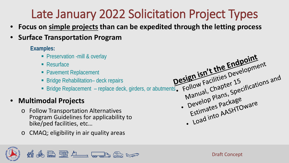### Late January 2022 Solicitation Project Types

- **Focus on simple projects than can be expedited through the letting process**
- **Surface Transportation Program**

**Examples:**

- **Preservation -mill & overlay**
- **Resurface**
- **Pavement Replacement**
- **Bridge Rehabilitation- deck repairs**
- **Bridge Replacement replace deck, girders, or abutments**

### • **Multimodal Projects**

- o Follow Transportation Alternatives Program Guidelines for applicability to bike/ped facilities, etc…
- o CMAQ; eligibility in air quality areas



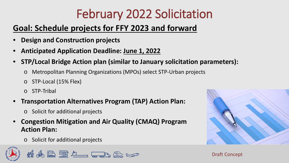# February 2022 Solicitation

### **Goal: Schedule projects for FFY 2023 and forward**

- **Design and Construction projects**
- **Anticipated Application Deadline: June 1, 2022**
- **STP/Local Bridge Action plan (similar to January solicitation parameters):**
	- o Metropolitan Planning Organizations (MPOs) select STP-Urban projects
	- o STP-Local (15% Flex)
	- o STP-Tribal
- **Transportation Alternatives Program (TAP) Action Plan:** 
	- o Solicit for additional projects
- **Congestion Mitigation and Air Quality (CMAQ) Program Action Plan:** 
	- o Solicit for additional projects



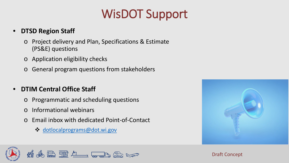# WisDOT Support

#### • **DTSD Region Staff**

- o Project delivery and Plan, Specifications & Estimate (PS&E) questions
- o Application eligibility checks
- o General program questions from stakeholders

#### • **DTIM Central Office Staff**

- o Programmatic and scheduling questions
- o Informational webinars
- o Email inbox with dedicated Point-of-Contact
	- <u>**☆ [dotlocalprograms@dot.wi.gov](mailto:dotlocalprograms@dot.wi.gov)**</u>



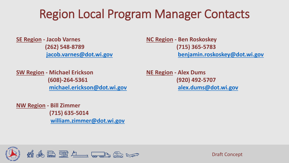### Region Local Program Manager Contacts

**SE Region - Jacob Varnes NC Region - Ben Roskoskey <b>NC Region** - Ben Roskoskey

**(262) 548-8789 (715) 365-5783 [jacob.varnes@dot.wi.gov](mailto:jacob.varnes@dot.wi.gov) [benjamin.roskoskey@dot.wi.gov](mailto:benjamin.roskoskey@dot.wi.gov)**

**SW Region - Michael Erickson** NE Region - Alex Dums **(608)-264-5361 (920) 492-5707**

**[michael.erickson@dot.wi.gov](mailto:michael.erickson@dot.wi.gov) [alex.dums@dot.wi.gov](mailto:alex.dums@dot.wi.gov)**

**NW Region - Bill Zimmer (715) 635-5014 [william.zimmer@dot.wi.gov](mailto:william.zimmer@dot.wi.gov)**

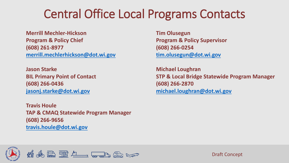### Central Office Local Programs Contacts

**Merrill Mechler-Hickson Tim Olusegun Program & Policy Chief Program & Policy Supervisor (608) 261-8977 (608) 266-0254 [merrill.mechlerhickson@dot.wi.gov](mailto:merrill.mechlerhickson@dot.wi.gov) [tim.olusegun@dot.wi.gov](mailto:tim.olusegun@dot.wi.gov)**

**Jason Starke Michael Loughran Michael Loughran (608) 266-0436 (608) 266-2870**

**Travis Houle TAP & CMAQ Statewide Program Manager (608) 266-9656 [travis.houle@dot.wi.gov](mailto:travis.houle@dot.wi.gov)**

**BIL Primary Point of Contact STP & Local Bridge Statewide Program Manager [jasonj.starke@dot.wi.gov](mailto:jasonj.starke@dot.wi.gov) [michael.loughran@dot.wi.gov](mailto:michael.loughran@dot.wi.gov)**

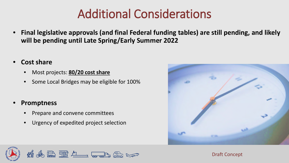### Additional Considerations

- **Final legislative approvals (and final Federal funding tables) are still pending, and likely will be pending until Late Spring/Early Summer 2022**
- **Cost share**
	- Most projects: **80/20 cost share**
	- Some Local Bridges may be eligible for 100%
- **Promptness**
	- Prepare and convene committees
	- Urgency of expedited project selection